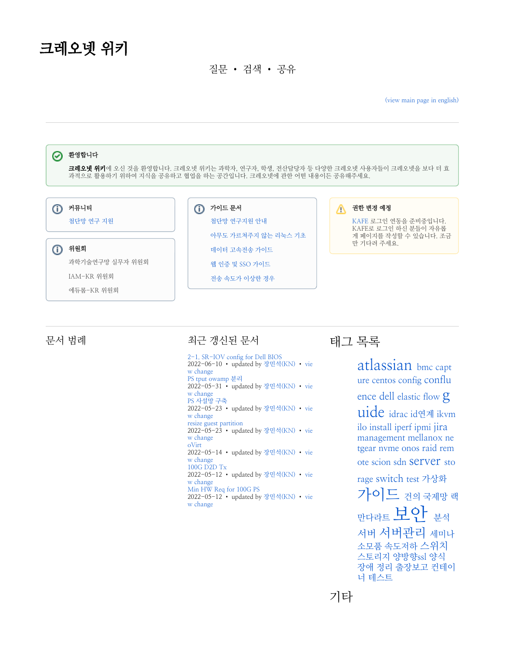## 크레오넷 위키

질문 • 검색 • 공유

[\(view main page in english\)](https://wiki.kreonet.net/display/WIKI/KREONET+Wiki)



## 문서 범례 주의 이 시간이 되어 있어 보니 무서

[2-1. SR-IOV config for Dell BIOS](https://wiki.kreonet.net/display/WIKI/2-1.+SR-IOV+config+for+Dell+BIOS) 2022-06-10 • updated by [장민석\(KN\)](https://wiki.kreonet.net/display/~msjang) • [vie](https://wiki.kreonet.net/pages/diffpagesbyversion.action?pageId=60588443&selectedPageVersions=5&selectedPageVersions=4) [w change](https://wiki.kreonet.net/pages/diffpagesbyversion.action?pageId=60588443&selectedPageVersions=5&selectedPageVersions=4) [PS tput owamp 분리](https://wiki.kreonet.net/pages/viewpage.action?pageId=83329195) 2022-05-31 • updated by [장민석\(KN\)](https://wiki.kreonet.net/display/~msjang) • [vie](https://wiki.kreonet.net/pages/diffpagesbyversion.action?pageId=83329195&selectedPageVersions=2&selectedPageVersions=1) [w change](https://wiki.kreonet.net/pages/diffpagesbyversion.action?pageId=83329195&selectedPageVersions=2&selectedPageVersions=1) [PS 사설망 구축](https://wiki.kreonet.net/pages/viewpage.action?pageId=83329169) 2022-05-23 • updated by [장민석\(KN\)](https://wiki.kreonet.net/display/~msjang) • [vie](https://wiki.kreonet.net/pages/diffpagesbyversion.action?pageId=83329169&selectedPageVersions=2&selectedPageVersions=1) [w change](https://wiki.kreonet.net/pages/diffpagesbyversion.action?pageId=83329169&selectedPageVersions=2&selectedPageVersions=1) [resize guest partition](https://wiki.kreonet.net/display/WIKI/resize+guest+partition) 2022-05-23 • updated by [장민석\(KN\)](https://wiki.kreonet.net/display/~msjang) • [vie](https://wiki.kreonet.net/pages/diffpagesbyversion.action?pageId=83329164&selectedPageVersions=2&selectedPageVersions=1) [w change](https://wiki.kreonet.net/pages/diffpagesbyversion.action?pageId=83329164&selectedPageVersions=2&selectedPageVersions=1) [oVirt](https://wiki.kreonet.net/display/WIKI/oVirt) 2022-05-14 • updated by [장민석\(KN\)](https://wiki.kreonet.net/display/~msjang) • [vie](https://wiki.kreonet.net/pages/diffpagesbyversion.action?pageId=83329049&selectedPageVersions=10&selectedPageVersions=9) [w change](https://wiki.kreonet.net/pages/diffpagesbyversion.action?pageId=83329049&selectedPageVersions=10&selectedPageVersions=9) [100G D2D Tx](https://wiki.kreonet.net/display/WIKI/100G+D2D+Tx) 2022-05-12 • updated by [장민석\(KN\)](https://wiki.kreonet.net/display/~msjang) • [vie](https://wiki.kreonet.net/pages/diffpagesbyversion.action?pageId=83329141&selectedPageVersions=2&selectedPageVersions=1) [w change](https://wiki.kreonet.net/pages/diffpagesbyversion.action?pageId=83329141&selectedPageVersions=2&selectedPageVersions=1) [Min HW Req for 100G PS](https://wiki.kreonet.net/display/WIKI/Min+HW+Req+for+100G+PS) 2022-05-12 • updated by [장민석\(KN\)](https://wiki.kreonet.net/display/~msjang) • [vie](https://wiki.kreonet.net/pages/diffpagesbyversion.action?pageId=83329135&selectedPageVersions=3&selectedPageVersions=2) [w change](https://wiki.kreonet.net/pages/diffpagesbyversion.action?pageId=83329135&selectedPageVersions=3&selectedPageVersions=2)

태그 목록

[atlassian](https://wiki.kreonet.net/label/WIKI/atlassian) [bmc](https://wiki.kreonet.net/label/WIKI/bmc) [capt](https://wiki.kreonet.net/label/WIKI/capture) [ure](https://wiki.kreonet.net/label/WIKI/capture) [centos](https://wiki.kreonet.net/label/WIKI/centos) [config](https://wiki.kreonet.net/label/WIKI/config) [conflu](https://wiki.kreonet.net/label/WIKI/confluence) [ence](https://wiki.kreonet.net/label/WIKI/confluence) [dell](https://wiki.kreonet.net/label/WIKI/dell) [elastic](https://wiki.kreonet.net/label/WIKI/elastic) [flow](https://wiki.kreonet.net/label/WIKI/flow) [g](https://wiki.kreonet.net/label/WIKI/guide) [uide](https://wiki.kreonet.net/label/WIKI/guide) [idrac](https://wiki.kreonet.net/label/WIKI/idrac) [id연계](https://wiki.kreonet.net/labels/viewlabel.action?ids=2031620&key=WIKI) [ikvm](https://wiki.kreonet.net/label/WIKI/ikvm) [ilo](https://wiki.kreonet.net/label/WIKI/ilo) [install](https://wiki.kreonet.net/label/WIKI/install) [iperf](https://wiki.kreonet.net/label/WIKI/iperf) [ipmi](https://wiki.kreonet.net/label/WIKI/ipmi) [jira](https://wiki.kreonet.net/label/WIKI/jira) [management](https://wiki.kreonet.net/label/WIKI/management) [mellanox](https://wiki.kreonet.net/label/WIKI/mellanox) [ne](https://wiki.kreonet.net/label/WIKI/netgear)

[tgear](https://wiki.kreonet.net/label/WIKI/netgear) [nvme](https://wiki.kreonet.net/label/WIKI/nvme) [onos](https://wiki.kreonet.net/label/WIKI/onos) [raid](https://wiki.kreonet.net/label/WIKI/raid) [rem](https://wiki.kreonet.net/label/WIKI/remote) [ote](https://wiki.kreonet.net/label/WIKI/remote) [scion](https://wiki.kreonet.net/label/WIKI/scion) [sdn](https://wiki.kreonet.net/label/WIKI/sdn) [server](https://wiki.kreonet.net/label/WIKI/server) [sto](https://wiki.kreonet.net/label/WIKI/storage)

[rage](https://wiki.kreonet.net/label/WIKI/storage) [switch](https://wiki.kreonet.net/label/WIKI/switch) [test](https://wiki.kreonet.net/label/WIKI/test) [가상화](https://wiki.kreonet.net/labels/viewlabel.action?ids=27721751&key=WIKI) [가이드](https://wiki.kreonet.net/labels/viewlabel.action?ids=51281971&key=WIKI) [건의](https://wiki.kreonet.net/labels/viewlabel.action?ids=2031618&key=WIKI) [국제망](https://wiki.kreonet.net/labels/viewlabel.action?ids=60948484&key=WIKI) [랙](https://wiki.kreonet.net/labels/viewlabel.action?ids=51281958&key=WIKI) [만다라트](https://wiki.kreonet.net/labels/viewlabel.action?ids=51281936&key=WIKI) [보안](https://wiki.kreonet.net/labels/viewlabel.action?ids=24248322&key=WIKI) [분석](https://wiki.kreonet.net/labels/viewlabel.action?ids=51281963&key=WIKI) [서버](https://wiki.kreonet.net/labels/viewlabel.action?ids=51281957&key=WIKI) [서버관리](https://wiki.kreonet.net/labels/viewlabel.action?ids=51281956&key=WIKI) [세미나](https://wiki.kreonet.net/labels/viewlabel.action?ids=51281944&key=WIKI) [소모품](https://wiki.kreonet.net/labels/viewlabel.action?ids=51281947&key=WIKI) [속도저하](https://wiki.kreonet.net/labels/viewlabel.action?ids=51281969&key=WIKI) [스위치](https://wiki.kreonet.net/labels/viewlabel.action?ids=44302337&key=WIKI) [스토리지](https://wiki.kreonet.net/labels/viewlabel.action?ids=51281952&key=WIKI) [양방향ssl](https://wiki.kreonet.net/labels/viewlabel.action?ids=2031619&key=WIKI) [양식](https://wiki.kreonet.net/labels/viewlabel.action?ids=51281950&key=WIKI) [장애](https://wiki.kreonet.net/labels/viewlabel.action?ids=51281955&key=WIKI) [정리](https://wiki.kreonet.net/labels/viewlabel.action?ids=51281959&key=WIKI) [출장보고](https://wiki.kreonet.net/labels/viewlabel.action?ids=27721749&key=WIKI) [컨테이](https://wiki.kreonet.net/labels/viewlabel.action?ids=27721750&key=WIKI) [너](https://wiki.kreonet.net/labels/viewlabel.action?ids=27721750&key=WIKI) [테스트](https://wiki.kreonet.net/labels/viewlabel.action?ids=51281968&key=WIKI)

기타